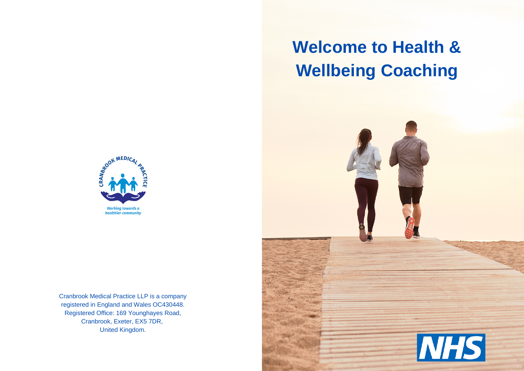# **Welcome to Health & Wellbeing Coaching**





Cranbrook Medical Practice LLP is a company registered in England and Wales OC430448. Registered Office: 169 Younghayes Road, Cranbrook, Exeter, EX5 7DR, United Kingdom.